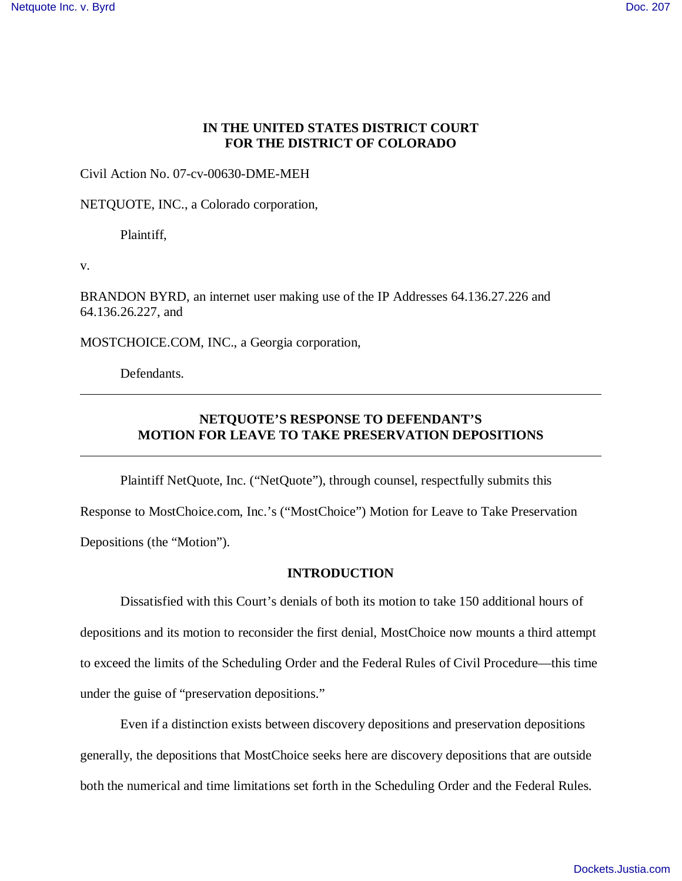## **IN THE UNITED STATES DISTRICT COURT FOR THE DISTRICT OF COLORADO**

Civil Action No. 07-cv-00630-DME-MEH

NETQUOTE, INC., a Colorado corporation,

Plaintiff,

v.

BRANDON BYRD, an internet user making use of the IP Addresses 64.136.27.226 and 64.136.26.227, and

MOSTCHOICE.COM, INC., a Georgia corporation,

Defendants.

# **NETQUOTE'S RESPONSE TO DEFENDANT'S MOTION FOR LEAVE TO TAKE PRESERVATION DEPOSITIONS**

Plaintiff NetQuote, Inc. ("NetQuote"), through counsel, respectfully submits this

Response to MostChoice.com, Inc.'s ("MostChoice") Motion for Leave to Take Preservation Depositions (the "Motion").

#### **INTRODUCTION**

Dissatisfied with this Court's denials of both its motion to take 150 additional hours of depositions and its motion to reconsider the first denial, MostChoice now mounts a third attempt to exceed the limits of the Scheduling Order and the Federal Rules of Civil Procedure— this time under the guise of "preservation depositions."

Even if a distinction exists between discovery depositions and preservation depositions generally, the depositions that MostChoice seeks here are discovery depositions that are outside both the numerical and time limitations set forth in the Scheduling Order and the Federal Rules.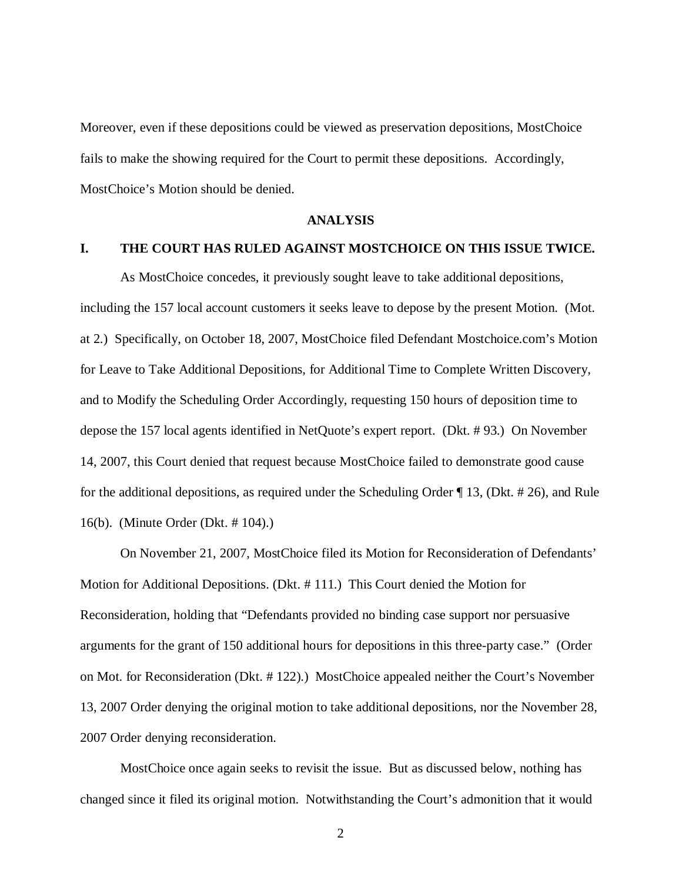Moreover, even if these depositions could be viewed as preservation depositions, MostChoice fails to make the showing required for the Court to permit these depositions. Accordingly, MostChoice's Motion should be denied.

#### **ANALYSIS**

#### **I. THE COURT HAS RULED AGAINST MOSTCHOICE ON THIS ISSUE TWICE.**

As MostChoice concedes, it previously sought leave to take additional depositions, including the 157 local account customers it seeks leave to depose by the present Motion. (Mot. at 2.) Specifically, on October 18, 2007, MostChoice filed Defendant Mostchoice.com's Motion for Leave to Take Additional Depositions, for Additional Time to Complete Written Discovery, and to Modify the Scheduling Order Accordingly, requesting 150 hours of deposition time to depose the 157 local agents identified in NetQuote's expert report. (Dkt. # 93.) On November 14, 2007, this Court denied that request because MostChoice failed to demonstrate good cause for the additional depositions, as required under the Scheduling Order ¶ 13, (Dkt. # 26), and Rule 16(b). (Minute Order (Dkt. # 104).)

On November 21, 2007, MostChoice filed its Motion for Reconsideration of Defendants' Motion for Additional Depositions. (Dkt. # 111.) This Court denied the Motion for Reconsideration, holding that "Defendants provided no binding case support nor persuasive arguments for the grant of 150 additional hours for depositions in this three-party case." (Order on Mot. for Reconsideration (Dkt. # 122).) MostChoice appealed neither the Court's November 13, 2007 Order denying the original motion to take additional depositions, nor the November 28, 2007 Order denying reconsideration.

MostChoice once again seeks to revisit the issue. But as discussed below, nothing has changed since it filed its original motion. Notwithstanding the Court's admonition that it would

2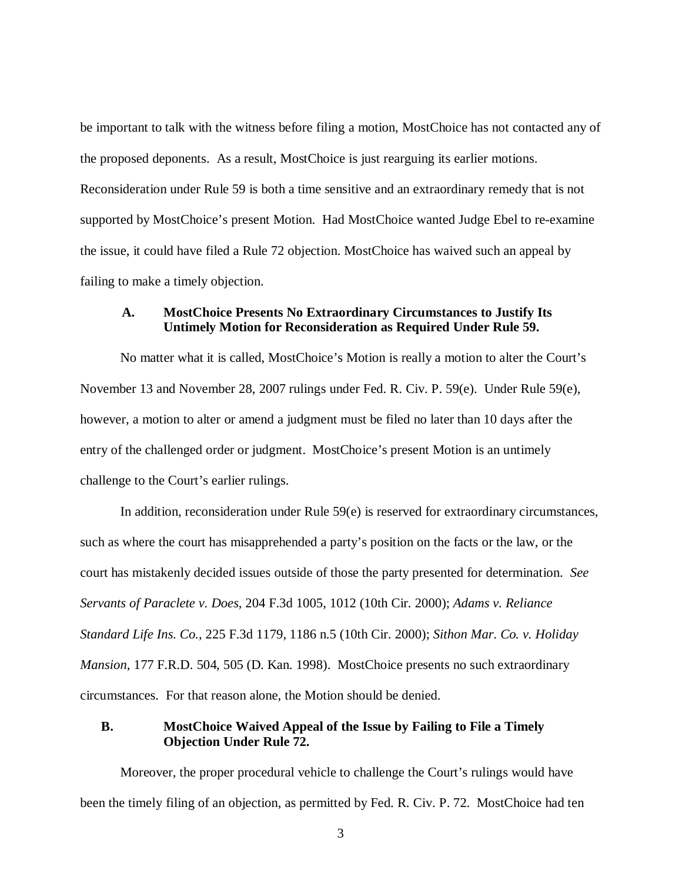be important to talk with the witness before filing a motion, MostChoice has not contacted any of the proposed deponents. As a result, MostChoice is just rearguing its earlier motions. Reconsideration under Rule 59 is both a time sensitive and an extraordinary remedy that is not supported by MostChoice's present Motion. Had MostChoice wanted Judge Ebel to re-examine the issue, it could have filed a Rule 72 objection. MostChoice has waived such an appeal by failing to make a timely objection.

## **A. MostChoice Presents No Extraordinary Circumstances to Justify Its Untimely Motion for Reconsideration as Required Under Rule 59.**

No matter what it is called, MostChoice's Motion is really a motion to alter the Court's November 13 and November 28, 2007 rulings under Fed. R. Civ. P. 59(e). Under Rule 59(e), however, a motion to alter or amend a judgment must be filed no later than 10 days after the entry of the challenged order or judgment. MostChoice's present Motion is an untimely challenge to the Court's earlier rulings.

In addition, reconsideration under Rule 59(e) is reserved for extraordinary circumstances, such as where the court has misapprehended a party's position on the facts or the law, or the court has mistakenly decided issues outside of those the party presented for determination. *See Servants of Paraclete v. Does*, 204 F.3d 1005, 1012 (10th Cir. 2000); *Adams v. Reliance Standard Life Ins. Co.*, 225 F.3d 1179, 1186 n.5 (10th Cir. 2000); *Sithon Mar. Co. v. Holiday Mansion*, 177 F.R.D. 504, 505 (D. Kan. 1998). MostChoice presents no such extraordinary circumstances. For that reason alone, the Motion should be denied.

## **B. MostChoice Waived Appeal of the Issue by Failing to File a Timely Objection Under Rule 72.**

Moreover, the proper procedural vehicle to challenge the Court's rulings would have been the timely filing of an objection, as permitted by Fed. R. Civ. P. 72. MostChoice had ten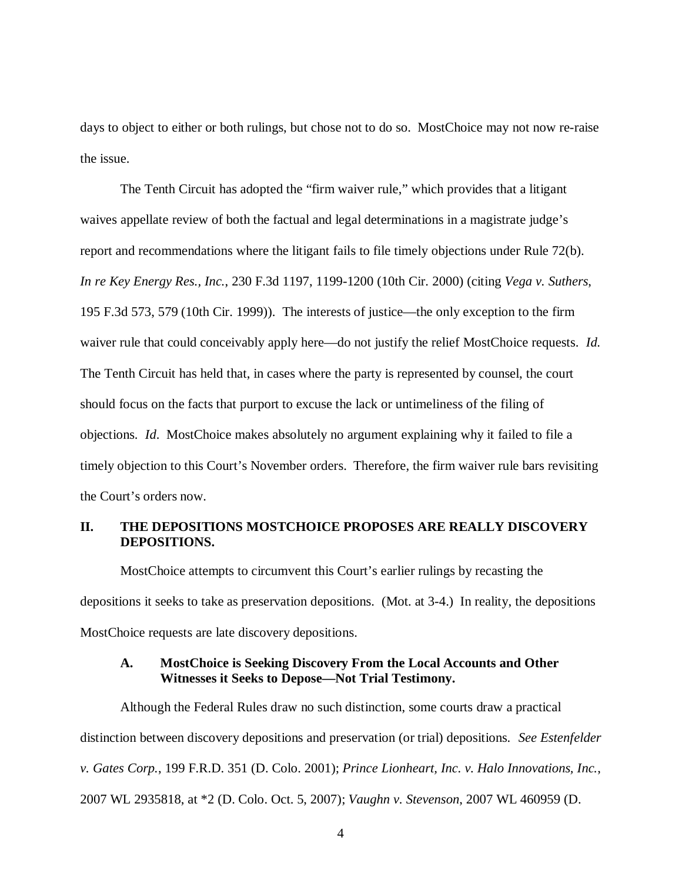days to object to either or both rulings, but chose not to do so. MostChoice may not now re-raise the issue.

The Tenth Circuit has adopted the "firm waiver rule," which provides that a litigant waives appellate review of both the factual and legal determinations in a magistrate judge's report and recommendations where the litigant fails to file timely objections under Rule 72(b). *In re Key Energy Res., Inc.*, 230 F.3d 1197, 1199-1200 (10th Cir. 2000) (citing *Vega v. Suthers*, 195 F.3d 573, 579 (10th Cir. 1999)). The interests of justice— the only exception to the firm waiver rule that could conceivably apply here— do not justify the relief MostChoice requests. *Id*. The Tenth Circuit has held that, in cases where the party is represented by counsel, the court should focus on the facts that purport to excuse the lack or untimeliness of the filing of objections. *Id*. MostChoice makes absolutely no argument explaining why it failed to file a timely objection to this Court's November orders. Therefore, the firm waiver rule bars revisiting the Court's orders now.

## **II. THE DEPOSITIONS MOSTCHOICE PROPOSES ARE REALLY DISCOVERY DEPOSITIONS.**

MostChoice attempts to circumvent this Court's earlier rulings by recasting the depositions it seeks to take as preservation depositions. (Mot. at 3-4.) In reality, the depositions MostChoice requests are late discovery depositions.

#### **A. MostChoice is Seeking Discovery From the Local Accounts and Other Witnesses it Seeks to Depose— Not Trial Testimony.**

Although the Federal Rules draw no such distinction, some courts draw a practical distinction between discovery depositions and preservation (or trial) depositions. *See Estenfelder v. Gates Corp.*, 199 F.R.D. 351 (D. Colo. 2001); *Prince Lionheart, Inc. v. Halo Innovations, Inc.*, 2007 WL 2935818, at \*2 (D. Colo. Oct. 5, 2007); *Vaughn v. Stevenson*, 2007 WL 460959 (D.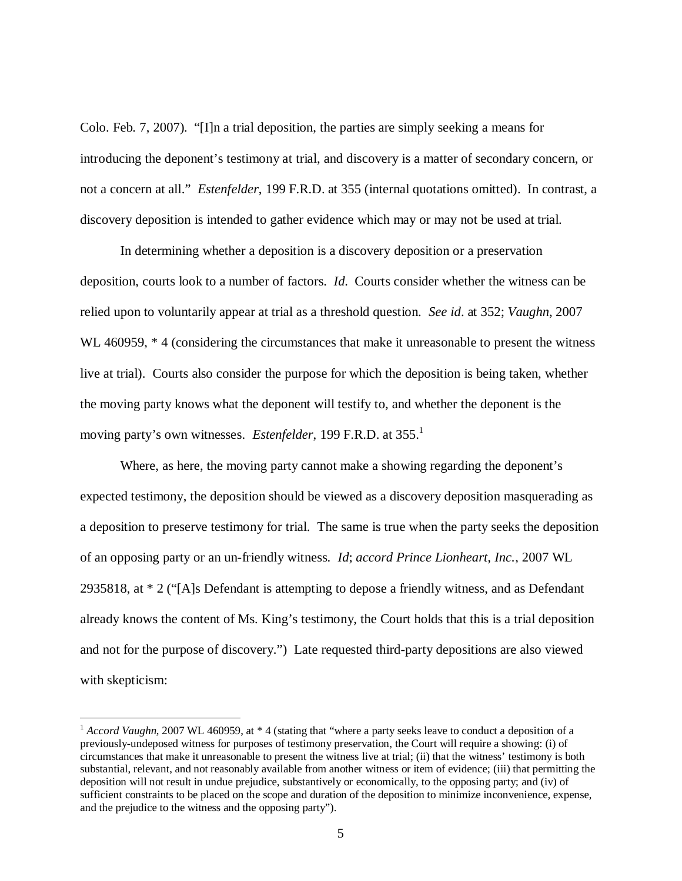Colo. Feb. 7, 2007). "[I]n a trial deposition, the parties are simply seeking a means for introducing the deponent's testimony at trial, and discovery is a matter of secondary concern, or not a concern at all." *Estenfelder*, 199 F.R.D. at 355 (internal quotations omitted). In contrast, a discovery deposition is intended to gather evidence which may or may not be used at trial.

In determining whether a deposition is a discovery deposition or a preservation deposition, courts look to a number of factors. *Id*. Courts consider whether the witness can be relied upon to voluntarily appear at trial as a threshold question. *See id*. at 352; *Vaughn*, 2007 WL 460959,  $*$  4 (considering the circumstances that make it unreasonable to present the witness live at trial). Courts also consider the purpose for which the deposition is being taken, whether the moving party knows what the deponent will testify to, and whether the deponent is the moving party's own witnesses. *Estenfelder*, 199 F.R.D. at 355.<sup>1</sup>

Where, as here, the moving party cannot make a showing regarding the deponent's expected testimony, the deposition should be viewed as a discovery deposition masquerading as a deposition to preserve testimony for trial. The same is true when the party seeks the deposition of an opposing party or an un-friendly witness. *Id*; *accord Prince Lionheart, Inc.*, 2007 WL 2935818, at \* 2 ("[A]s Defendant is attempting to depose a friendly witness, and as Defendant already knows the content of Ms. King's testimony, the Court holds that this is a trial deposition and not for the purpose of discovery.") Late requested third-party depositions are also viewed with skepticism:

<sup>&</sup>lt;sup>1</sup> *Accord Vaughn*, 2007 WL 460959, at \*4 (stating that "where a party seeks leave to conduct a deposition of a previously-undeposed witness for purposes of testimony preservation, the Court will require a showing: (i) of circumstances that make it unreasonable to present the witness live at trial; (ii) that the witness' testimony is both substantial, relevant, and not reasonably available from another witness or item of evidence; (iii) that permitting the deposition will not result in undue prejudice, substantively or economically, to the opposing party; and (iv) of sufficient constraints to be placed on the scope and duration of the deposition to minimize inconvenience, expense, and the prejudice to the witness and the opposing party").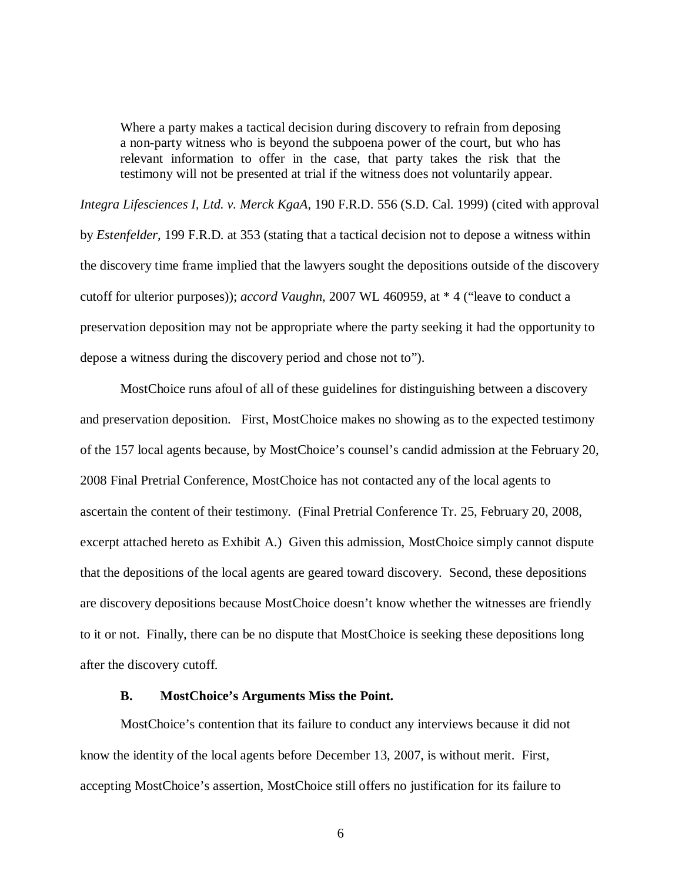Where a party makes a tactical decision during discovery to refrain from deposing a non-party witness who is beyond the subpoena power of the court, but who has relevant information to offer in the case, that party takes the risk that the testimony will not be presented at trial if the witness does not voluntarily appear.

*Integra Lifesciences I, Ltd. v. Merck KgaA*, 190 F.R.D. 556 (S.D. Cal. 1999) (cited with approval by *Estenfelder*, 199 F.R.D. at 353 (stating that a tactical decision not to depose a witness within the discovery time frame implied that the lawyers sought the depositions outside of the discovery cutoff for ulterior purposes)); *accord Vaughn*, 2007 WL 460959, at \* 4 ("leave to conduct a preservation deposition may not be appropriate where the party seeking it had the opportunity to depose a witness during the discovery period and chose not to").

MostChoice runs afoul of all of these guidelines for distinguishing between a discovery and preservation deposition. First, MostChoice makes no showing as to the expected testimony of the 157 local agents because, by MostChoice's counsel's candid admission at the February 20, 2008 Final Pretrial Conference, MostChoice has not contacted any of the local agents to ascertain the content of their testimony. (Final Pretrial Conference Tr. 25, February 20, 2008, excerpt attached hereto as Exhibit A.) Given this admission, MostChoice simply cannot dispute that the depositions of the local agents are geared toward discovery. Second, these depositions are discovery depositions because MostChoice doesn't know whether the witnesses are friendly to it or not. Finally, there can be no dispute that MostChoice is seeking these depositions long after the discovery cutoff.

#### **B. MostChoice's Arguments Miss the Point.**

MostChoice's contention that its failure to conduct any interviews because it did not know the identity of the local agents before December 13, 2007, is without merit. First, accepting MostChoice's assertion, MostChoice still offers no justification for its failure to

6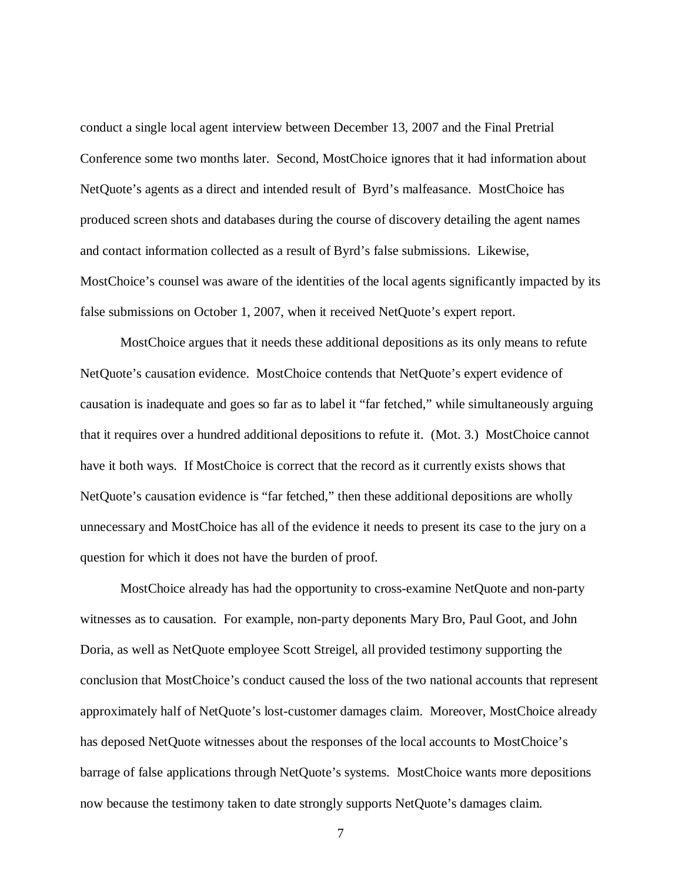conduct a single local agent interview between December 13, 2007 and the Final Pretrial Conference some two months later. Second, MostChoice ignores that it had information about NetQuote's agents as a direct and intended result of Byrd's malfeasance. MostChoice has produced screen shots and databases during the course of discovery detailing the agent names and contact information collected as a result of Byrd's false submissions. Likewise, MostChoice's counsel was aware of the identities of the local agents significantly impacted by its false submissions on October 1, 2007, when it received NetQuote's expert report.

MostChoice argues that it needs these additional depositions as its only means to refute NetQuote's causation evidence. MostChoice contends that NetQuote's expert evidence of causation is inadequate and goes so far as to label it "far fetched," while simultaneously arguing that it requires over a hundred additional depositions to refute it. (Mot. 3.) MostChoice cannot have it both ways. If MostChoice is correct that the record as it currently exists shows that NetQuote's causation evidence is "far fetched," then these additional depositions are wholly unnecessary and MostChoice has all of the evidence it needs to present its case to the jury on a question for which it does not have the burden of proof.

MostChoice already has had the opportunity to cross-examine NetQuote and non-party witnesses as to causation. For example, non-party deponents Mary Bro, Paul Goot, and John Doria, as well as NetQuote employee Scott Streigel, all provided testimony supporting the conclusion that MostChoice's conduct caused the loss of the two national accounts that represent approximately half of NetQuote's lost-customer damages claim. Moreover, MostChoice already has deposed NetQuote witnesses about the responses of the local accounts to MostChoice's barrage of false applications through NetQuote's systems. MostChoice wants more depositions now because the testimony taken to date strongly supports NetQuote's damages claim.

7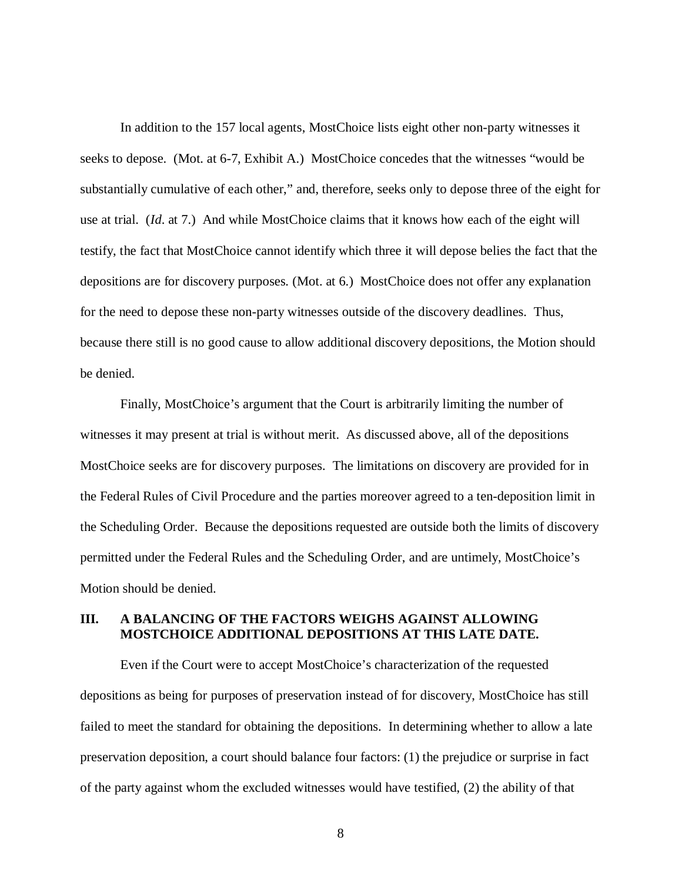In addition to the 157 local agents, MostChoice lists eight other non-party witnesses it seeks to depose. (Mot. at 6-7, Exhibit A.) MostChoice concedes that the witnesses "would be substantially cumulative of each other," and, therefore, seeks only to depose three of the eight for use at trial. (*Id*. at 7.) And while MostChoice claims that it knows how each of the eight will testify, the fact that MostChoice cannot identify which three it will depose belies the fact that the depositions are for discovery purposes. (Mot. at 6.) MostChoice does not offer any explanation for the need to depose these non-party witnesses outside of the discovery deadlines. Thus, because there still is no good cause to allow additional discovery depositions, the Motion should be denied.

Finally, MostChoice's argument that the Court is arbitrarily limiting the number of witnesses it may present at trial is without merit. As discussed above, all of the depositions MostChoice seeks are for discovery purposes. The limitations on discovery are provided for in the Federal Rules of Civil Procedure and the parties moreover agreed to a ten-deposition limit in the Scheduling Order. Because the depositions requested are outside both the limits of discovery permitted under the Federal Rules and the Scheduling Order, and are untimely, MostChoice's Motion should be denied.

## **III. A BALANCING OF THE FACTORS WEIGHS AGAINST ALLOWING MOSTCHOICE ADDITIONAL DEPOSITIONS AT THIS LATE DATE.**

Even if the Court were to accept MostChoice's characterization of the requested depositions as being for purposes of preservation instead of for discovery, MostChoice has still failed to meet the standard for obtaining the depositions. In determining whether to allow a late preservation deposition, a court should balance four factors: (1) the prejudice or surprise in fact of the party against whom the excluded witnesses would have testified, (2) the ability of that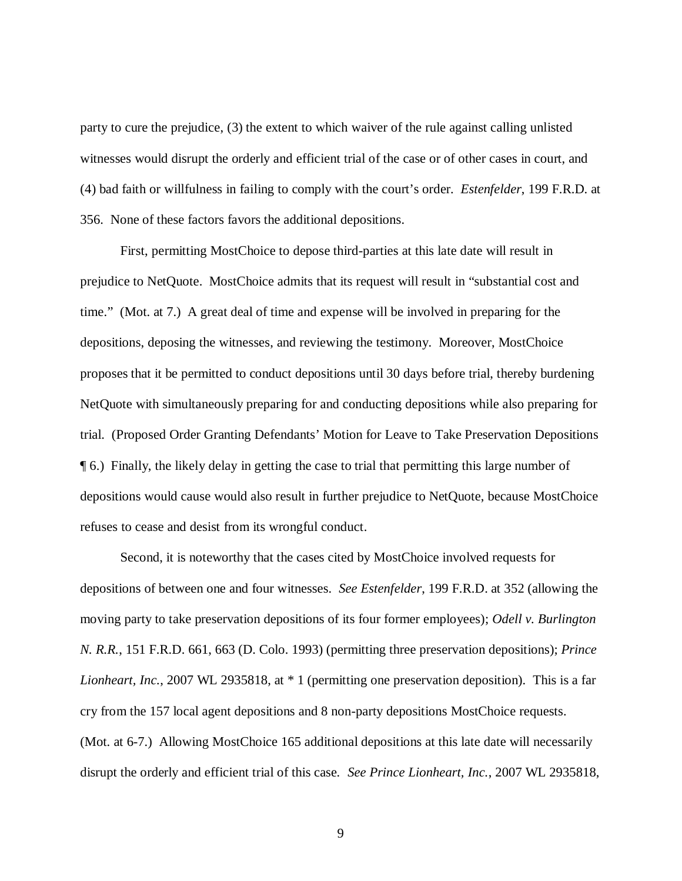party to cure the prejudice, (3) the extent to which waiver of the rule against calling unlisted witnesses would disrupt the orderly and efficient trial of the case or of other cases in court, and (4) bad faith or willfulness in failing to comply with the court's order. *Estenfelder*, 199 F.R.D. at 356. None of these factors favors the additional depositions.

First, permitting MostChoice to depose third-parties at this late date will result in prejudice to NetQuote. MostChoice admits that its request will result in "substantial cost and time." (Mot. at 7.) A great deal of time and expense will be involved in preparing for the depositions, deposing the witnesses, and reviewing the testimony. Moreover, MostChoice proposes that it be permitted to conduct depositions until 30 days before trial, thereby burdening NetQuote with simultaneously preparing for and conducting depositions while also preparing for trial. (Proposed Order Granting Defendants' Motion for Leave to Take Preservation Depositions ¶ 6.) Finally, the likely delay in getting the case to trial that permitting this large number of depositions would cause would also result in further prejudice to NetQuote, because MostChoice refuses to cease and desist from its wrongful conduct.

Second, it is noteworthy that the cases cited by MostChoice involved requests for depositions of between one and four witnesses. *See Estenfelder*, 199 F.R.D. at 352 (allowing the moving party to take preservation depositions of its four former employees); *Odell v. Burlington N. R.R.*, 151 F.R.D. 661, 663 (D. Colo. 1993) (permitting three preservation depositions); *Prince Lionheart, Inc.*, 2007 WL 2935818, at  $*$  1 (permitting one preservation deposition). This is a far cry from the 157 local agent depositions and 8 non-party depositions MostChoice requests. (Mot. at 6-7.) Allowing MostChoice 165 additional depositions at this late date will necessarily disrupt the orderly and efficient trial of this case. *See Prince Lionheart, Inc.*, 2007 WL 2935818,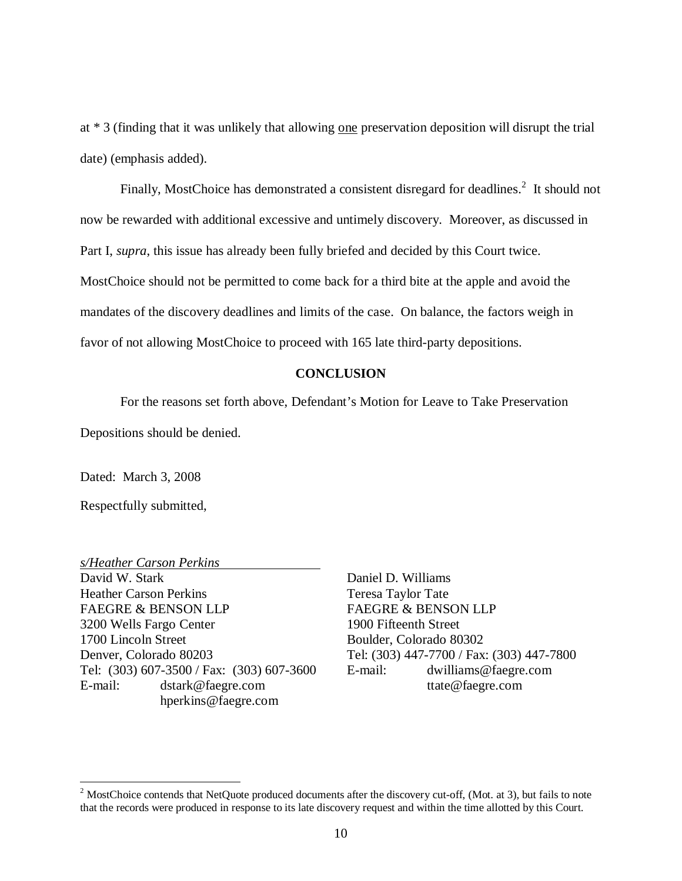at \* 3 (finding that it was unlikely that allowing one preservation deposition will disrupt the trial date) (emphasis added).

Finally, MostChoice has demonstrated a consistent disregard for deadlines. $2$  It should not now be rewarded with additional excessive and untimely discovery. Moreover, as discussed in Part I, *supra*, this issue has already been fully briefed and decided by this Court twice. MostChoice should not be permitted to come back for a third bite at the apple and avoid the mandates of the discovery deadlines and limits of the case. On balance, the factors weigh in favor of not allowing MostChoice to proceed with 165 late third-party depositions.

#### **CONCLUSION**

For the reasons set forth above, Defendant's Motion for Leave to Take Preservation

Depositions should be denied.

Dated: March 3, 2008

Respectfully submitted,

*s/Heather Carson Perkins* David W. Stark Heather Carson Perkins FAEGRE & BENSON LLP 3200 Wells Fargo Center 1700 Lincoln Street Denver, Colorado 80203 Tel: (303) 607-3500 / Fax: (303) 607-3600 E-mail: [dstark@faegre.com](mailto:dstark@faegre.com) [hperkins@faegre.com](mailto:hperkins@faegre.com)

Daniel D. Williams Teresa Taylor Tate FAEGRE & BENSON LLP 1900 Fifteenth Street Boulder, Colorado 80302 Tel: (303) 447-7700 / Fax: (303) 447-7800 E-mail: [dwilliams@faegre.com](mailto:dwilliams@faegre.com) [ttate@faegre.com](mailto:ttate@faegre.com)

<sup>&</sup>lt;sup>2</sup> MostChoice contends that NetQuote produced documents after the discovery cut-off, (Mot. at 3), but fails to note that the records were produced in response to its late discovery request and within the time allotted by this Court.